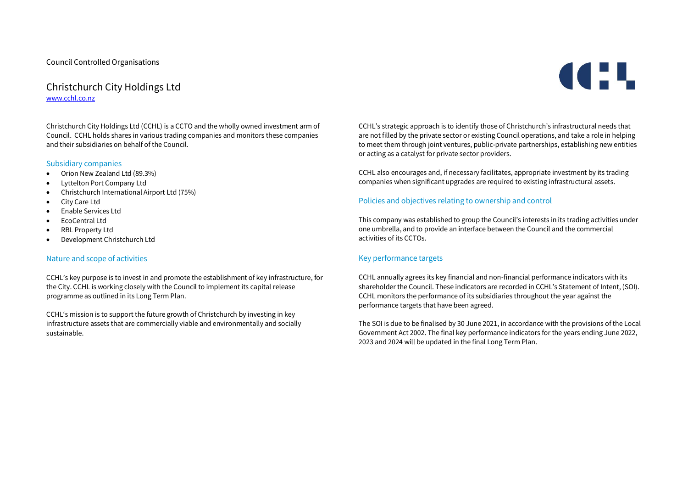# Christchurch City Holdings Ltd [www.cchl.co.nz](http://www.cchl.co.nz/)

Christchurch City Holdings Ltd (CCHL) is a CCTO and the wholly owned investment arm of Council. CCHL holds shares in various trading companies and monitors these companies and their subsidiaries on behalf of the Council.

#### Subsidiary companies

- Orion New Zealand Ltd (89.3%)
- Lyttelton Port Company Ltd
- Christchurch International Airport Ltd (75%)
- City Care Ltd
- Enable Services Ltd
- FroCentral Ltd
- RBI Property I td
- Development Christchurch Ltd

#### Nature and scope of activities

CCHL's key purpose is to invest in and promote the establishment of key infrastructure, for the City. CCHL is working closely with the Council to implement its capital release programme as outlined in its Long Term Plan.

CCHL's mission is to support the future growth of Christchurch by investing in key infrastructure assets that are commercially viable and environmentally and socially sustainable.

CCHL's strategic approach is to identify those of Christchurch's infrastructural needs that are not filled by the private sector or existing Council operations, and take a role in helping to meet them through joint ventures, public-private partnerships, establishing new entities or acting as a catalyst for private sector providers.

CCHL also encourages and, if necessary facilitates, appropriate investment by its trading companies when significant upgrades are required to existing infrastructural assets.

#### Policies and objectives relating to ownership and control

This company was established to group the Council's interests in its trading activities under one umbrella, and to provide an interface between the Council and the commercial activities of its CCTOs.

#### Key performance targets

CCHL annually agrees its key financial and non-financial performance indicators with its shareholder the Council. These indicators are recorded in CCHL's Statement of Intent, (SOI). CCHL monitors the performance of its subsidiaries throughout the year against the performance targets that have been agreed.

The SOI is due to be finalised by 30 June 2021, in accordance with the provisions of the Local Government Act 2002. The final key performance indicators for the years ending June 2022, 2023 and 2024 will be updated in the final Long Term Plan.

# **CEL**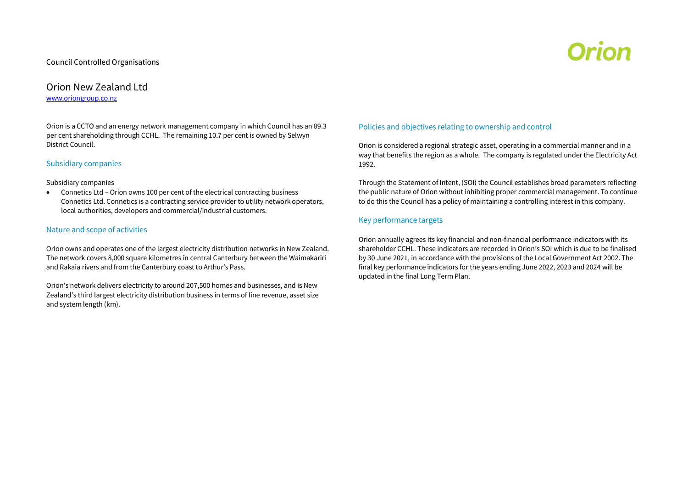# Orion

# Orion New Zealand Ltd [www.oriongroup.co.nz](http://www.oriongroup.co.nz/)

Orion is a CCTO and an energy network management company in which Council has an 89.3 per cent shareholding through CCHL. The remaining 10.7 per cent is owned by Selwyn District Council.

#### Subsidiary companies

#### Subsidiary companies

 Connetics Ltd – Orion owns 100 per cent of the electrical contracting business Connetics Ltd. Connetics is a contracting service provider to utility network operators, local authorities, developers and commercial/industrial customers.

#### Nature and scope of activities

Orion owns and operates one of the largest electricity distribution networks in New Zealand. The network covers 8,000 square kilometres in central Canterbury between the Waimakariri and Rakaia rivers and from the Canterbury coast to Arthur's Pass.

Orion's network delivers electricity to around 207,500 homes and businesses, and is New Zealand's third largest electricity distribution business in terms of line revenue, asset size and system length (km).

#### Policies and objectives relating to ownership and control

Orion is considered a regional strategic asset, operating in a commercial manner and in a way that benefits the region as a whole. The company is regulated under the Electricity Act 1992.

Through the Statement of Intent, (SOI) the Council establishes broad parameters reflecting the public nature of Orion without inhibiting proper commercial management. To continue to do this the Council has a policy of maintaining a controlling interest in this company.

#### Key performance targets

Orion annually agrees its key financial and non-financial performance indicators with its shareholder CCHL. These indicators are recorded in Orion's SOI which is due to be finalised by 30 June 2021, in accordance with the provisions of the Local Government Act 2002. The final key performance indicators for the years ending June 2022, 2023 and 2024 will be updated in the final Long Term Plan.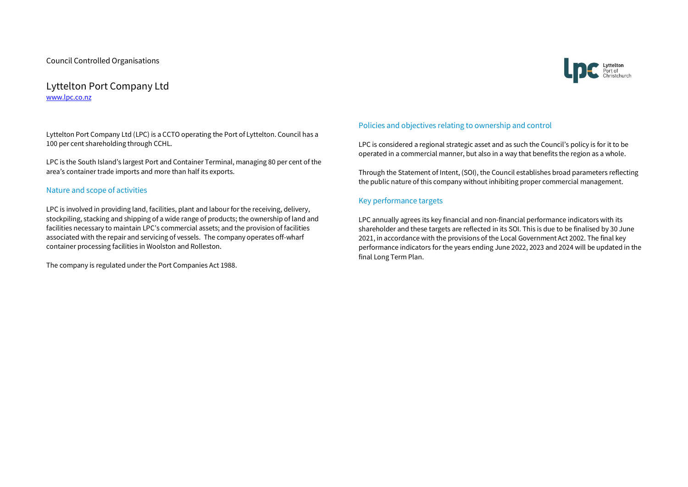# Lyttelton Port Company Ltd [www.lpc.co.nz](http://www.lpc.co.nz/)

Lyttelton Port Company Ltd (LPC) is a CCTO operating the Port of Lyttelton. Council has a 100 per cent shareholding through CCHL.

LPC is the South Island's largest Port and Container Terminal, managing 80 per cent of the area's container trade imports and more than half its exports.

#### Nature and scope of activities

LPC is involved in providing land, facilities, plant and labour for the receiving, delivery, stockpiling, stacking and shipping of a wide range of products; the ownership of land and facilities necessary to maintain LPC's commercial assets; and the provision of facilities associated with the repair and servicing of vessels. The company operates off-wharf container processing facilities in Woolston and Rolleston.

The company is regulated under the Port Companies Act 1988.

#### Policies and objectives relating to ownership and control

LPC is considered a regional strategic asset and as such the Council's policy is for it to be operated in a commercial manner, but also in a way that benefits the region as a whole.

Through the Statement of Intent, (SOI), the Council establishes broad parameters reflecting the public nature of this company without inhibiting proper commercial management.

#### Key performance targets

LPC annually agrees its key financial and non-financial performance indicators with its shareholder and these targets are reflected in its SOI. This is due to be finalised by 30 June 2021, in accordance with the provisions of the Local Government Act 2002. The final key performance indicators for the years ending June 2022, 2023 and 2024 will be updated in the final Long Term Plan.

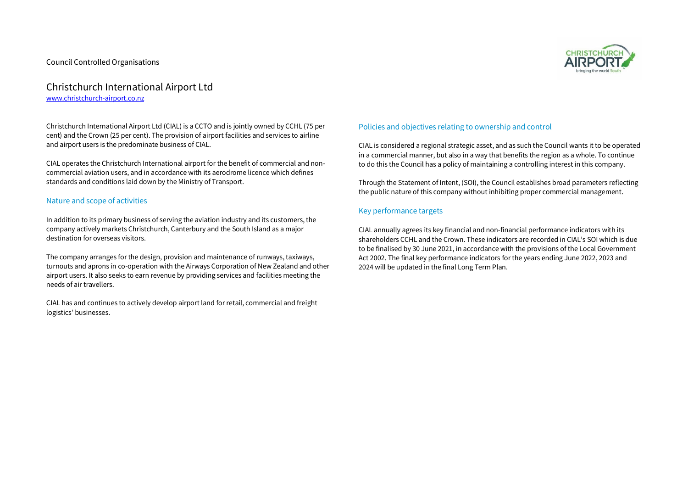### Christchurch International Airport Ltd [www.christchurch-airport.co.nz](http://www.christchurch-airport.co.nz/)

Christchurch International Airport Ltd (CIAL) is a CCTO and is jointly owned by CCHL (75 per cent) and the Crown (25 per cent). The provision of airport facilities and services to airline and airport users is the predominate business of CIAL.

CIAL operates the Christchurch International airport for the benefit of commercial and noncommercial aviation users, and in accordance with its aerodrome licence which defines standards and conditions laid down by the Ministry of Transport.

#### Nature and scope of activities

In addition to its primary business of serving the aviation industry and its customers, the company actively markets Christchurch, Canterbury and the South Island as a major destination for overseas visitors.

The company arranges for the design, provision and maintenance of runways, taxiways, turnouts and aprons in co-operation with the Airways Corporation of New Zealand and other airport users. It also seeks to earn revenue by providing services and facilities meeting the needs of air travellers.

CIAL has and continues to actively develop airport land for retail, commercial and freight logistics' businesses.

#### Policies and objectives relating to ownership and control

CIAL is considered a regional strategic asset, and as such the Council wants it to be operated in a commercial manner, but also in a way that benefits the region as a whole. To continue to do this the Council has a policy of maintaining a controlling interest in this company.

Through the Statement of Intent, (SOI), the Council establishes broad parameters reflecting the public nature of this company without inhibiting proper commercial management.

#### Key performance targets

CIAL annually agrees its key financial and non-financial performance indicators with its shareholders CCHL and the Crown. These indicators are recorded in CIAL's SOI which is due to be finalised by 30 June 2021, in accordance with the provisions of the Local Government Act 2002. The final key performance indicators for the years ending June 2022, 2023 and 2024 will be updated in the final Long Term Plan.

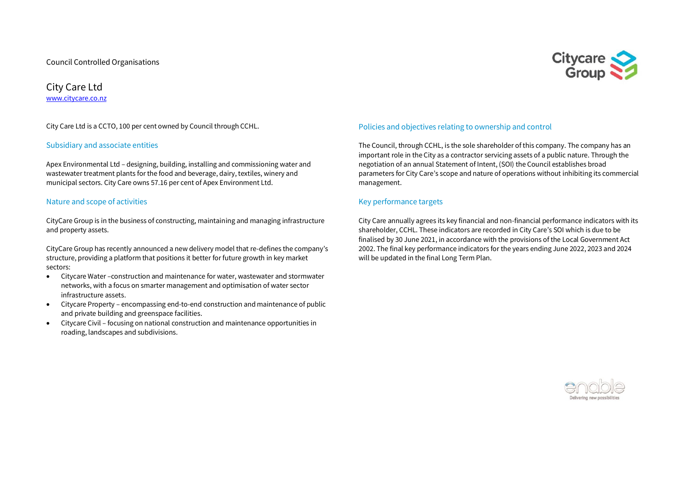

City Care Ltd [www.citycare.co.nz](http://www.citycare.co.nz/)

City Care Ltd is a CCTO, 100 per cent owned by Council through CCHL.

#### Subsidiary and associate entities

Apex Environmental Ltd – designing, building, installing and commissioning water and wastewater treatment plants for the food and beverage, dairy, textiles, winery and municipal sectors. City Care owns 57.16 per cent of Apex Environment Ltd.

#### Nature and scope of activities

CityCare Group is in the business of constructing, maintaining and managing infrastructure and property assets.

CityCare Group has recently announced a new delivery model that re-defines the company's structure, providing a platform that positions it better for future growth in key market sectors:

- Citycare Water –construction and maintenance for water, wastewater and stormwater networks, with a focus on smarter management and optimisation of water sector infrastructure assets.
- Citycare Property encompassing end-to-end construction and maintenance of public and private building and greenspace facilities.
- Citycare Civil focusing on national construction and maintenance opportunities in roading, landscapes and subdivisions.

#### Policies and objectives relating to ownership and control

The Council, through CCHL, is the sole shareholder of this company. The company has an important role in the City as a contractor servicing assets of a public nature. Through the negotiation of an annual Statement of Intent, (SOI) the Council establishes broad parameters for City Care's scope and nature of operations without inhibiting its commercial management.

#### Key performance targets

City Care annually agrees its key financial and non-financial performance indicators with its shareholder, CCHL. These indicators are recorded in City Care's SOI which is due to be finalised by 30 June 2021, in accordance with the provisions of the Local Government Act 2002. The final key performance indicators for the years ending June 2022, 2023 and 2024 will be updated in the final Long Term Plan.

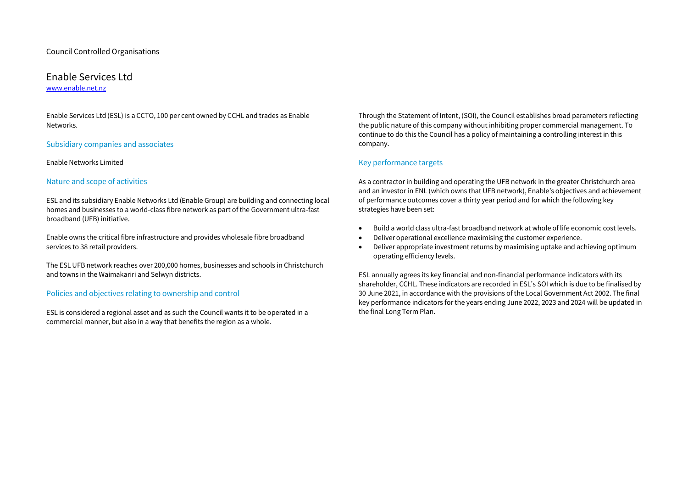# Enable Services Ltd

[www.enable.net.nz](http://www.enable.net.nz/)

Enable Services Ltd (ESL) is a CCTO, 100 per cent owned by CCHL and trades as Enable Networks.

#### Subsidiary companies and associates

#### Enable Networks Limited

#### Nature and scope of activities

ESL and its subsidiary Enable Networks Ltd (Enable Group) are building and connecting local homes and businesses to a world-class fibre network as part of the Government ultra-fast broadband (UFB) initiative.

Enable owns the critical fibre infrastructure and provides wholesale fibre broadband services to 38 retail providers.

The ESL UFB network reaches over 200,000 homes, businesses and schools in Christchurch and towns in the Waimakariri and Selwyn districts.

#### Policies and objectives relating to ownership and control

ESL is considered a regional asset and as such the Council wants it to be operated in a commercial manner, but also in a way that benefits the region as a whole.

Through the Statement of Intent, (SOI), the Council establishes broad parameters reflecting the public nature of this company without inhibiting proper commercial management. To continue to do this the Council has a policy of maintaining a controlling interest in this company.

#### Key performance targets

As a contractor in building and operating the UFB network in the greater Christchurch area and an investor in ENL (which owns that UFB network), Enable's objectives and achievement of performance outcomes cover a thirty year period and for which the following key strategies have been set:

- Build a world class ultra-fast broadband network at whole of life economic cost levels.
- Deliver operational excellence maximising the customer experience.
- Deliver appropriate investment returns by maximising uptake and achieving optimum operating efficiency levels.

ESL annually agrees its key financial and non-financial performance indicators with its shareholder, CCHL. These indicators are recorded in ESL's SOI which is due to be finalised by 30 June 2021, in accordance with the provisions of the Local Government Act 2002. The final key performance indicators for the years ending June 2022, 2023 and 2024 will be updated in the final Long Term Plan.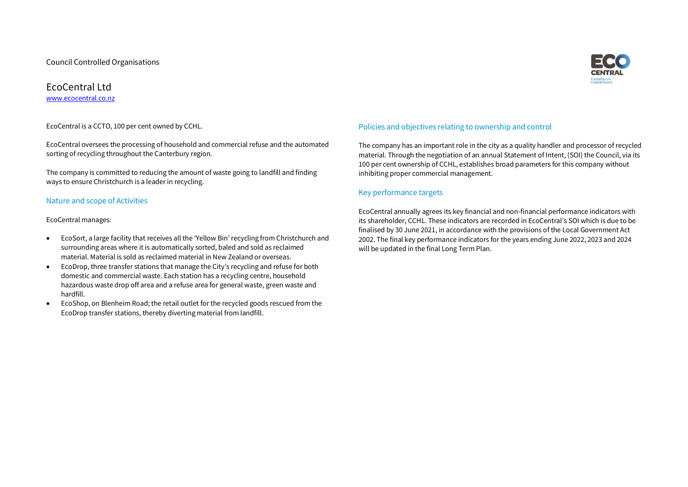

#### EcoCentral Ltd [www.ecocentral.co.nz](http://www.ecocentral.co.nz/)

EcoCentral is a CCTO, 100 per cent owned by CCHL.

EcoCentral oversees the processing of household and commercial refuse and the automated sorting of recycling throughout the Canterbury region.

The company is committed to reducing the amount of waste going to landfill and finding ways to ensure Christchurch is a leader in recycling.

#### Nature and scope of Activities

EcoCentral manages:

- EcoSort, a large facility that receives all the 'Yellow Bin' recycling from Christchurch and surrounding areas where it is automatically sorted, baled and sold as reclaimed material. Material is sold as reclaimed material in New Zealand or overseas.
- EcoDrop, three transfer stations that manage the City's recycling and refuse for both domestic and commercial waste. Each station has a recycling centre, household hazardous waste drop off area and a refuse area for general waste, green waste and hardfill.
- EcoShop, on Blenheim Road; the retail outlet for the recycled goods rescued from the EcoDrop transfer stations, thereby diverting material from landfill.

#### Policies and objectives relating to ownership and control

The company has an important role in the city as a quality handler and processor of recycled material. Through the negotiation of an annual Statement of Intent, (SOI) the Council, via its 100 per cent ownership of CCHL, establishes broad parameters for this company without inhibiting proper commercial management.

#### Key performance targets

EcoCentral annually agrees its key financial and non-financial performance indicators with its shareholder, CCHL. These indicators are recorded in EcoCentral's SOI which is due to be finalised by 30 June 2021, in accordance with the provisions of the Local Government Act 2002. The final key performance indicators for the years ending June 2022, 2023 and 2024 will be updated in the final Long Term Plan.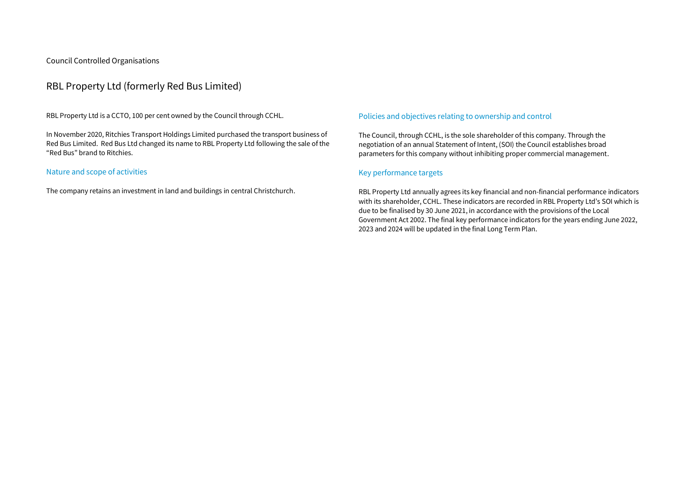# RBL Property Ltd (formerly Red Bus Limited)

RBL Property Ltd is a CCTO, 100 per cent owned by the Council through CCHL.

In November 2020, Ritchies Transport Holdings Limited purchased the transport business of Red Bus Limited. Red Bus Ltd changed its name to RBL Property Ltd following the sale of the "Red Bus" brand to Ritchies.

#### Nature and scope of activities

The company retains an investment in land and buildings in central Christchurch.

#### Policies and objectives relating to ownership and control

The Council, through CCHL, is the sole shareholder of this company. Through the negotiation of an annual Statement of Intent, (SOI) the Council establishes broad parameters for this company without inhibiting proper commercial management.

#### Key performance targets

RBL Property Ltd annually agrees its key financial and non-financial performance indicators with its shareholder, CCHL. These indicators are recorded in RBL Property Ltd's SOI which is due to be finalised by 30 June 2021, in accordance with the provisions of the Local Government Act 2002. The final key performance indicators for the years ending June 2022, 2023 and 2024 will be updated in the final Long Term Plan.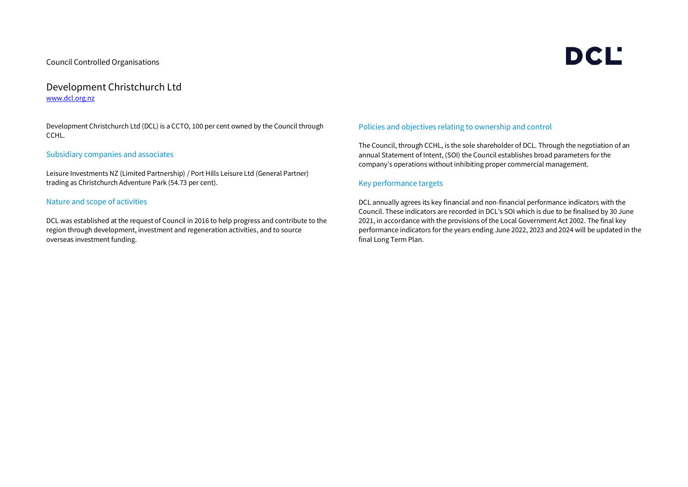# Development Christchurch Ltd [www.dcl.org.nz](http://www.dcl.org.nz/)

Development Christchurch Ltd (DCL) is a CCTO, 100 per cent owned by the Council through CCHL.

#### Subsidiary companies and associates

Leisure Investments NZ (Limited Partnership) / Port Hills Leisure Ltd (General Partner) trading as Christchurch Adventure Park (54.73 per cent).

#### Nature and scope of activities

DCL was established at the request of Council in 2016 to help progress and contribute to the region through development, investment and regeneration activities, and to source overseas investment funding.

#### Policies and objectives relating to ownership and control

The Council, through CCHL, is the sole shareholder of DCL. Through the negotiation of an annual Statement of Intent, (SOI) the Council establishes broad parameters for the company's operations without inhibiting proper commercial management.

#### Key performance targets

DCL annually agrees its key financial and non-financial performance indicators with the Council. These indicators are recorded in DCL's SOI which is due to be finalised by 30 June 2021, in accordance with the provisions of the Local Government Act 2002. The final key performance indicators for the years ending June 2022, 2023 and 2024 will be updated in the final Long Term Plan.

# **DCL'**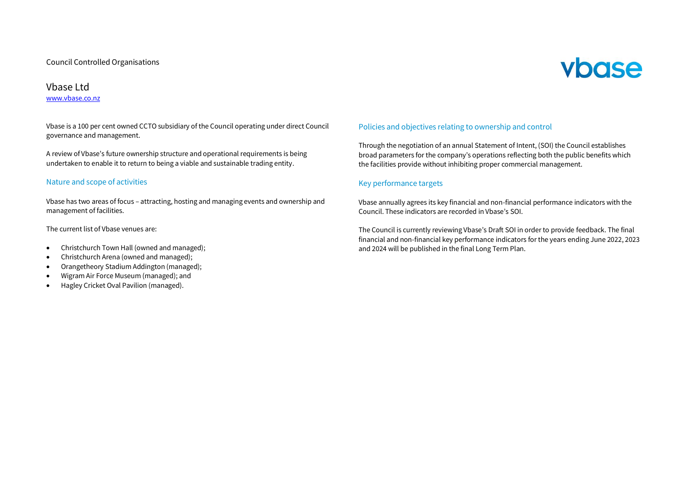# vbase

### Vbase Ltd

#### [www.vbase.co.nz](http://www.vbase.co.nz/)

Vbase is a 100 per cent owned CCTO subsidiary of the Council operating under direct Council governance and management.

A review of Vbase's future ownership structure and operational requirements is being undertaken to enable it to return to being a viable and sustainable trading entity.

#### Nature and scope of activities

Vbase has two areas of focus – attracting, hosting and managing events and ownership and management of facilities.

The current list of Vbase venues are:

- Christchurch Town Hall (owned and managed);
- Christchurch Arena (owned and managed);
- Orangetheory Stadium Addington (managed);
- Wigram Air Force Museum (managed); and
- Hagley Cricket Oval Pavilion (managed).

#### Policies and objectives relating to ownership and control

Through the negotiation of an annual Statement of Intent, (SOI) the Council establishes broad parameters for the company's operations reflecting both the public benefits which the facilities provide without inhibiting proper commercial management.

#### Key performance targets

Vbase annually agrees its key financial and non-financial performance indicators with the Council. These indicators are recorded in Vbase's SOI.

The Council is currently reviewing Vbase's Draft SOI in order to provide feedback. The final financial and non-financial key performance indicators for the years ending June 2022, 2023 and 2024 will be published in the final Long Term Plan.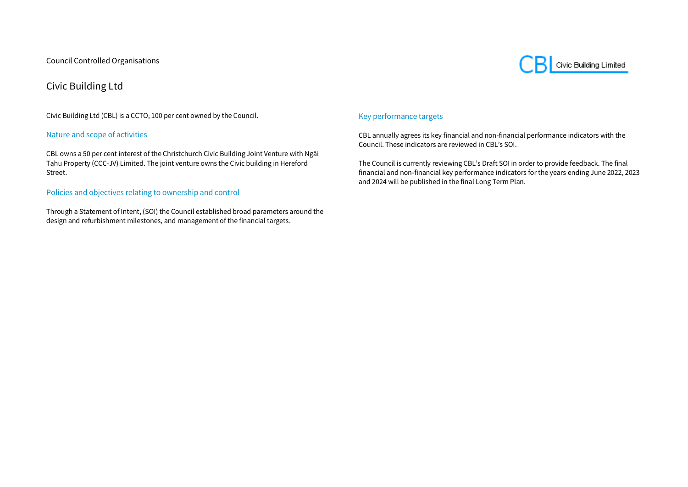Civic Building Limited

# Civic Building Ltd

Civic Building Ltd (CBL) is a CCTO, 100 per cent owned by the Council.

#### Nature and scope of activities

CBL owns a 50 per cent interest of the Christchurch Civic Building Joint Venture with Ngāi Tahu Property (CCC-JV) Limited. The joint venture owns the Civic building in Hereford Street.

#### Policies and objectives relating to ownership and control

Through a Statement of Intent, (SOI) the Council established broad parameters around the design and refurbishment milestones, and management of the financial targets.

#### Key performance targets

CBL annually agrees its key financial and non-financial performance indicators with the Council. These indicators are reviewed in CBL's SOI.

The Council is currently reviewing CBL's Draft SOI in order to provide feedback. The final financial and non-financial key performance indicators for the years ending June 2022, 2023 and 2024 will be published in the final Long Term Plan.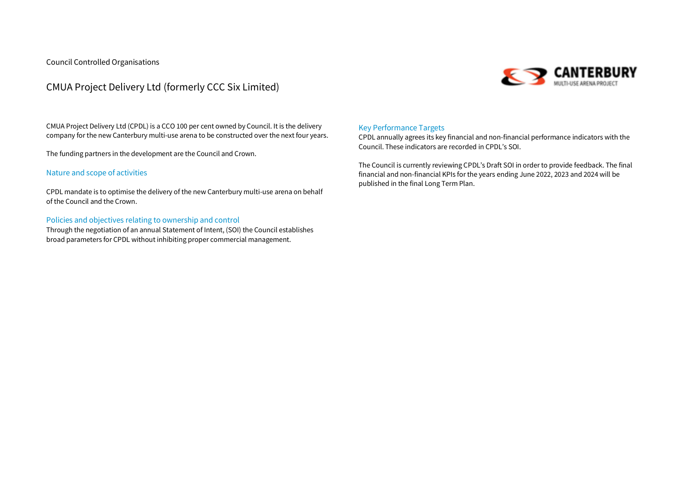

# CMUA Project Delivery Ltd (formerly CCC Six Limited)

CMUA Project Delivery Ltd (CPDL) is a CCO 100 per cent owned by Council. It is the delivery company for the new Canterbury multi-use arena to be constructed over the next four years.

The funding partners in the development are the Council and Crown.

#### Nature and scope of activities

CPDL mandate is to optimise the delivery of the new Canterbury multi-use arena on behalf of the Council and the Crown.

#### Policies and objectives relating to ownership and control

Through the negotiation of an annual Statement of Intent, (SOI) the Council establishes broad parameters for CPDL without inhibiting proper commercial management.

#### Key Performance Targets

CPDL annually agrees its key financial and non-financial performance indicators with the Council. These indicators are recorded in CPDL's SOI.

The Council is currently reviewing CPDL's Draft SOI in order to provide feedback. The final financial and non-financial KPIs for the years ending June 2022, 2023 and 2024 will be published in the final Long Term Plan.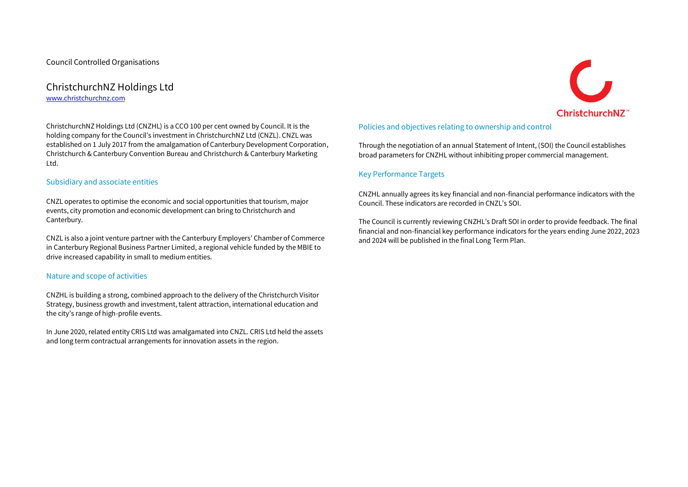# ChristchurchNZ Holdings Ltd [www.christchurchnz.com](http://www.christchurchnz.com/)

ChristchurchNZ Holdings Ltd (CNZHL) is a CCO 100 per cent owned by Council. It is the holding company for the Council's investment in ChristchurchNZ Ltd (CNZL). CNZL was established on 1 July 2017 from the amalgamation of Canterbury Development Corporation, Christchurch & Canterbury Convention Bureau and Christchurch & Canterbury Marketing Ltd.

#### Subsidiary and associate entities

CNZL operates to optimise the economic and social opportunities that tourism, major events, city promotion and economic development can bring to Christchurch and Canterbury.

CNZL is also a joint venture partner with the Canterbury Employers' Chamber of Commerce in Canterbury Regional Business Partner Limited, a regional vehicle funded by the MBIE to drive increased capability in small to medium entities.

#### Nature and scope of activities

CNZHL is building a strong, combined approach to the delivery of the Christchurch Visitor Strategy, business growth and investment, talent attraction, international education and the city's range of high-profile events.

In June 2020, related entity CRIS Ltd was amalgamated into CNZL. CRIS Ltd held the assets and long term contractual arrangements for innovation assets in the region.

#### Policies and objectives relating to ownership and control

Through the negotiation of an annual Statement of Intent, (SOI) the Council establishes broad parameters for CNZHL without inhibiting proper commercial management.

#### Key Performance Targets

CNZHL annually agrees its key financial and non-financial performance indicators with the Council. These indicators are recorded in CNZL's SOI.

The Council is currently reviewing CNZHL's Draft SOI in order to provide feedback. The final financial and non-financial key performance indicators for the years ending June 2022, 2023 and 2024 will be published in the final Long Term Plan.

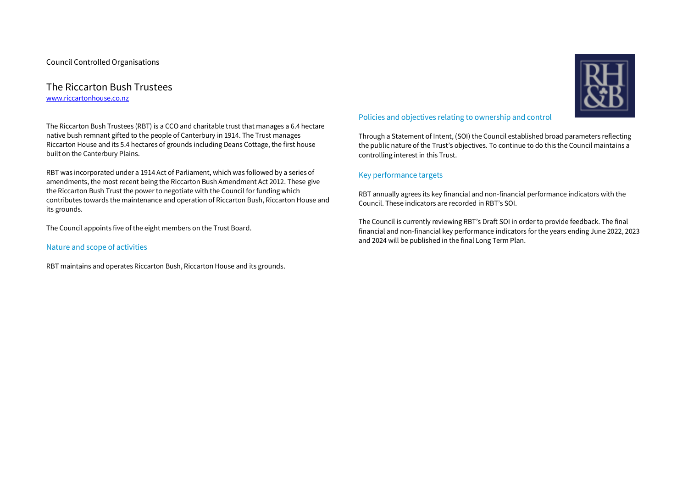#### The Riccarton Bush Trustees [www.riccartonhouse.co.nz](http://www.riccartonhouse.co.nz/)

The Riccarton Bush Trustees (RBT) is a CCO and charitable trust that manages a 6.4 hectare native bush remnant gifted to the people of Canterbury in 1914. The Trust manages Riccarton House and its 5.4 hectares of grounds including Deans Cottage, the first house built on the Canterbury Plains.

RBT was incorporated under a 1914 Act of Parliament, which was followed by a series of amendments, the most recent being the Riccarton Bush Amendment Act 2012. These give the Riccarton Bush Trust the power to negotiate with the Council for funding which contributes towards the maintenance and operation of Riccarton Bush, Riccarton House and its grounds.

The Council appoints five of the eight members on the Trust Board.

#### Nature and scope of activities

RBT maintains and operates Riccarton Bush, Riccarton House and its grounds.

#### Policies and objectives relating to ownership and control

Through a Statement of Intent, (SOI) the Council established broad parameters reflecting the public nature of the Trust's objectives. To continue to do this the Council maintains a controlling interest in this Trust.

#### Key performance targets

RBT annually agrees its key financial and non-financial performance indicators with the Council. These indicators are recorded in RBT's SOI.

The Council is currently reviewing RBT's Draft SOI in order to provide feedback. The final financial and non-financial key performance indicators for the years ending June 2022, 2023 and 2024 will be published in the final Long Term Plan.

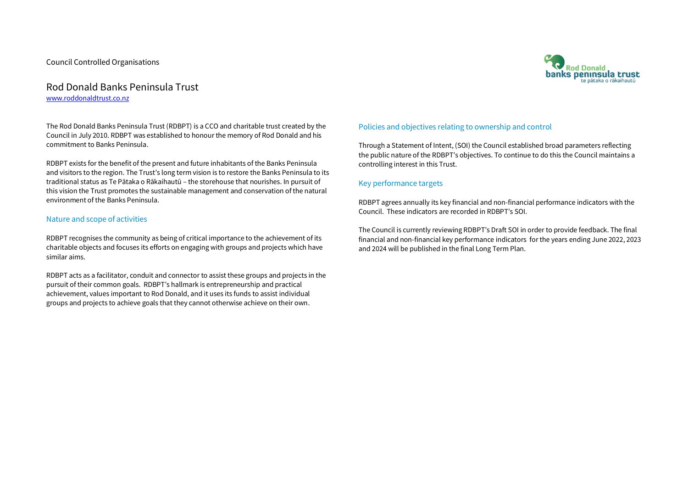#### Rod Donald Banks Peninsula Trust [www.roddonaldtrust.co.nz](http://www.roddonaldtrust.co.nz/)

The Rod Donald Banks Peninsula Trust (RDBPT) is a CCO and charitable trust created by the Council in July 2010. RDBPT was established to honour the memory of Rod Donald and his commitment to Banks Peninsula.

RDBPT exists for the benefit of the present and future inhabitants of the Banks Peninsula and visitors to the region. The Trust's long term vision is to restore the Banks Peninsula to its traditional status as Te Pātaka o Rākaihautū – the storehouse that nourishes. In pursuit of this vision the Trust promotes the sustainable management and conservation of the natural environment of the Banks Peninsula.

#### Nature and scope of activities

RDBPT recognises the community as being of critical importance to the achievement of its charitable objects and focuses its efforts on engaging with groups and projects which have similar aims.

RDBPT acts as a facilitator, conduit and connector to assist these groups and projects in the pursuit of their common goals. RDBPT's hallmark is entrepreneurship and practical achievement, values important to Rod Donald, and it uses its funds to assist individual groups and projects to achieve goals that they cannot otherwise achieve on their own.

#### Policies and objectives relating to ownership and control

Through a Statement of Intent, (SOI) the Council established broad parameters reflecting the public nature of the RDBPT's objectives. To continue to do this the Council maintains a controlling interest in this Trust.

#### Key performance targets

RDBPT agrees annually its key financial and non-financial performance indicators with the Council. These indicators are recorded in RDBPT's SOI.

The Council is currently reviewing RDBPT's Draft SOI in order to provide feedback. The final financial and non-financial key performance indicators for the years ending June 2022, 2023 and 2024 will be published in the final Long Term Plan.

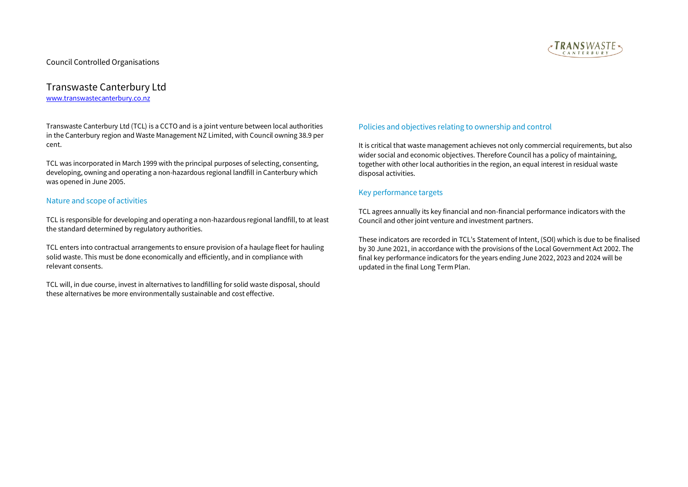

### Transwaste Canterbury Ltd [www.transwastecanterbury.co.nz](http://www.transwastecanterbury.co.nz/)

Transwaste Canterbury Ltd (TCL) is a CCTO and is a joint venture between local authorities in the Canterbury region and Waste Management NZ Limited, with Council owning 38.9 per cent.

TCL was incorporated in March 1999 with the principal purposes of selecting, consenting, developing, owning and operating a non-hazardous regional landfill in Canterbury which was opened in June 2005.

#### Nature and scope of activities

TCL is responsible for developing and operating a non-hazardous regional landfill, to at least the standard determined by regulatory authorities.

TCL enters into contractual arrangements to ensure provision of a haulage fleet for hauling solid waste. This must be done economically and efficiently, and in compliance with relevant consents.

TCL will, in due course, invest in alternatives to landfilling for solid waste disposal, should these alternatives be more environmentally sustainable and cost effective.

#### Policies and objectives relating to ownership and control

It is critical that waste management achieves not only commercial requirements, but also wider social and economic objectives. Therefore Council has a policy of maintaining, together with other local authorities in the region, an equal interest in residual waste disposal activities.

#### Key performance targets

TCL agrees annually its key financial and non-financial performance indicators with the Council and other joint venture and investment partners.

These indicators are recorded in TCL's Statement of Intent, (SOI) which is due to be finalised by 30 June 2021, in accordance with the provisions of the Local Government Act 2002. The final key performance indicators for the years ending June 2022, 2023 and 2024 will be updated in the final Long Term Plan.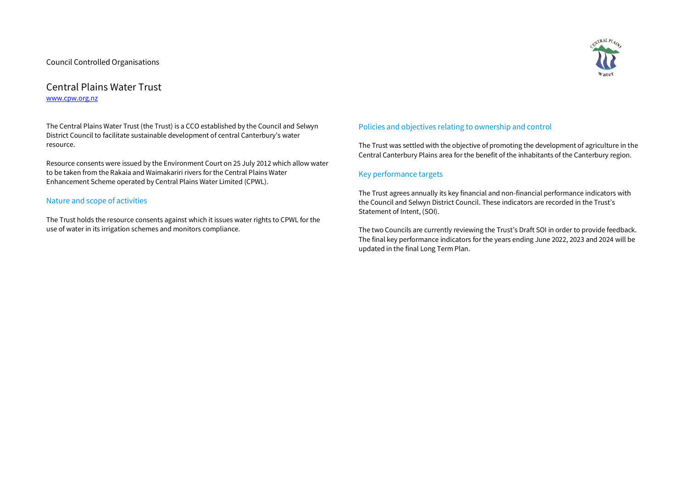# Central Plains Water Trust [www.cpw.org.nz](http://www.cpw.org.nz/)

The Central Plains Water Trust (the Trust) is a CCO established by the Council and Selwyn District Council to facilitate sustainable development of central Canterbury's water resource.

Resource consents were issued by the Environment Court on 25 July 2012 which allow water to be taken from the Rakaia and Waimakariri rivers for the Central Plains Water Enhancement Scheme operated by Central Plains Water Limited (CPWL).

#### Nature and scope of activities

The Trust holds the resource consents against which it issues water rights to CPWL for the use of water in its irrigation schemes and monitors compliance.



The Trust was settled with the objective of promoting the development of agriculture in the Central Canterbury Plains area for the benefit of the inhabitants of the Canterbury region.

#### Key performance targets

The Trust agrees annually its key financial and non-financial performance indicators with the Council and Selwyn District Council. These indicators are recorded in the Trust's Statement of Intent, (SOI).

The two Councils are currently reviewing the Trust's Draft SOI in order to provide feedback. The final key performance indicators for the years ending June 2022, 2023 and 2024 will be updated in the final Long Term Plan.